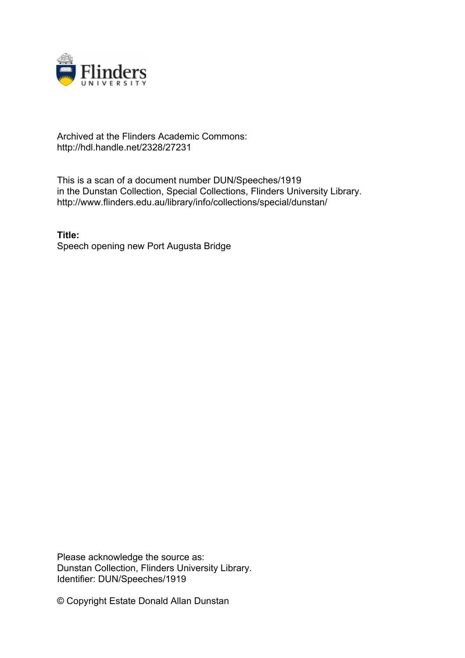

## Archived at the Flinders Academic Commons: http://hdl.handle.net/2328/27231

This is a scan of a document number DUN/Speeches/1919 in the Dunstan Collection, Special Collections, Flinders University Library. http://www.flinders.edu.au/library/info/collections/special/dunstan/

**Title:** Speech opening new Port Augusta Bridge

Please acknowledge the source as: Dunstan Collection, Flinders University Library. Identifier: DUN/Speeches/1919

© Copyright Estate Donald Allan Dunstan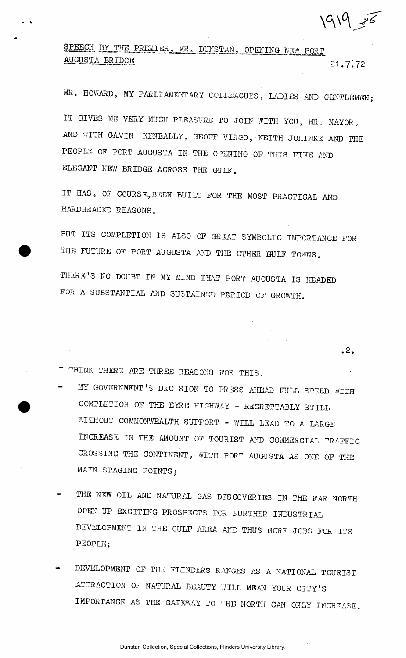$199 - 76$ 

SPEECH BY THE PREMIER, MR. DUNSTAN, OPENING NEW PORT AUGUSTA BRIDGE " 21.7.72

**.2.** 

MR. HOWARD, MY PARLIAMENTARY COLLEAGUES, LADIES AND GENTLEMEN; IT GIVES ME VERY MUCH PLEASURE TO JOIN WITH YOU, MR. MAYOR, AND WITH GAVIN KENEALLY, GEOFF VIRGO, KEITH JOHINKE AND THE PEOPLE OP PORT AUGUSTA IN THE OPENING OP THIS PINE AND ELEGANT NEW BRIDGE ACROSS THE GULP.

IT HAS, OP COURSE,BEEN BUILT POR THE MOST PRACTICAL AND HARDHEADED REASONS.

BUT ITS COMPLETION IS ALSO OP GREAT SYMBOLIC IMPORTANCE POR THE FUTURE OP PORT AUGUSTA AND THE OTHER GULP TOWNS.

THERE'S NO DOUBT IN MY MIND THAT PORT AUGUSTA IS HEADED POR A SUBSTANTIAL AND SUSTAINED PERIOD OP GROWTH.

I THINK THERE ARE THREE REASONS POR THIS:

- MY GOVERNMENT'S DECISION TO PRESS AHEAD FULL SPEED WITH COMPLETION OF THE EYRE HIGHWAY - REGRETTABLY STILL WITHOUT COMMONWEALTH SUPPORT - WILL LEAD TO A LARGE INCREASE IN THE AMOUNT OP TOURIST AND COMMERCIAL TRAFFIC CROSSING THE CONTINENT, WITH PORT AUGUSTA AS ONE OF THE MAIN STAGING POINTS;
- THE NEW OIL AND NATURAL GAS DISCOVERIES IN THE FAR NORTH OPEN UP EXCITING PROSPECTS POR FURTHER INDUSTRIAL DEVELOPMENT IN THE GULP .AREA AND THUS MORE JOBS FOR ITS PEOPLE;
- DEVELOPMENT OF THE FLINDERS RANGES AS A NATIONAL TOURIST ATTRACTION OF NATURAL BEAUTY WILL MEAN YOUR CITY'S IMPORTANCE AS THE GATEWAY TO THE NORTH CAN ONLY INCREASE.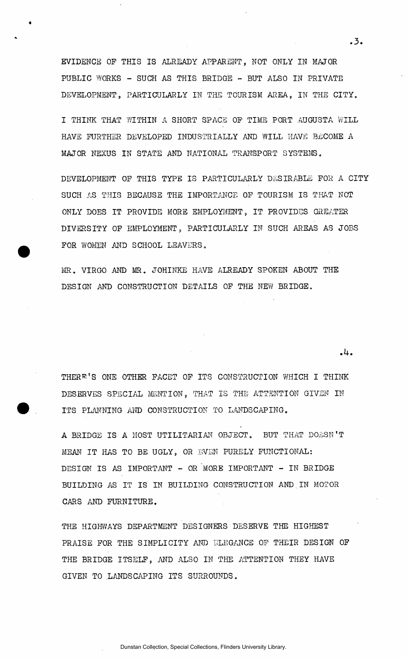EVIDENCE OP THIS IS ALREADY APPARENT, NOT ONLY IN MAJOR PUBLIC WORKS - SUCH AS THIS BRIDGE - BUT ALSO IN PRIVATE DEVELOPMENT, PARTICULARLY IN THE TOURISM AREA, IN THE CITY.

I THINK THAT WITHIN A SHORT SPACE OP TIME PORT AUGUSTA WILL HAVE FURTHER DEVELOPED INDUSTRIALLY AND WILL HAVE BECOME A MAJOR NEXUS IN STATE AND NATIONAL TRANSPORT SYSTEMS.

DEVELOPMENT OP THIS TYPE IS PARTICULARLY DESIRABLE FOR A CITY SUCH AS THIS BECAUSE THE IMPORTANCE OP TOURISM IS THAT NOT ONLY DOES IT PROVIDE MORE EMPLOYMENT, IT PROVIDES GREATER DIVERSITY OF EMPLOYMENT, PARTICULARLY IN SUCH AREAS AS JOBS FOR WOMEN AND SCHOOL LEAVERS.

MR. VIRGO AND MR. JOHINKE HAVE ALREADY SPOKEN ABOUT THE DESIGN AND CONSTRUCTION DETAILS OP THE NEW BRIDGE.

THERE'S ONE OTHER FACET OF ITS CONSTRUCTION WHICH I THINK DESERVES SPECIAL MENTION, THAT IS THE ATTENTION GIVEN IN ITS PLANNING AND CONSTRUCTION TO LANDSCAPING.

A BRIDGE IS A MOST UTILITARIAN OBJECT. BUT THAT DOESN'T MEAN IT HAS TO BE UGLY, OR EVEN PURELY FUNCTIONAL: DESIGN IS AS IMPORTANT - OR MORE IMPORTANT - IN BRIDGE BUILDING AS IT IS IN BUILDING CONSTRUCTION AND.IN MOTOR CARS AND FURNITURE.

THE HIGHWAYS DEPARTMENT DESIGNERS DESERVE THE HIGHEST PRAISE FOR THE SIMPLICITY AND ELEGANCE OP THEIR DESIGN OF THE BRIDGE ITSELF, AND ALSO IN THE ATTENTION THEY HAVE GIVEN TO LANDSCAPING ITS SURROUNDS.

 $.3.$ 

*.h.*